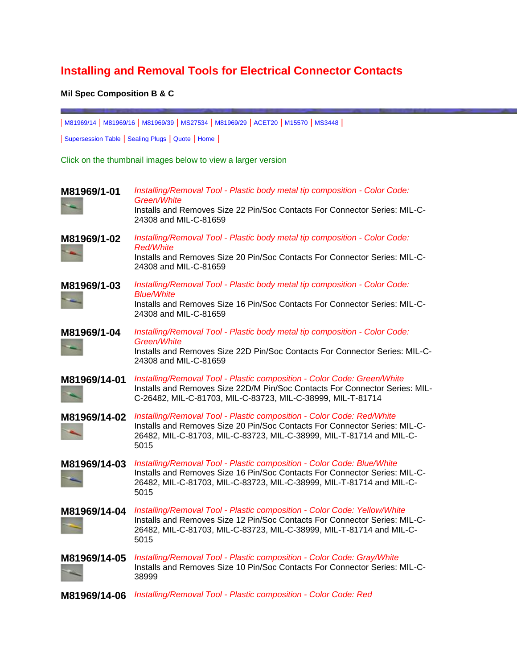## **Installing and Removal Tools for Electrical Connector Contacts**

## **Mil Spec Composition B & C**

| [M81969/14](http://www.aiconics.com/irtools.html#slash1401) | [M81969/16](http://www.aiconics.com/irtools.html#slash1601) | [M81969/39](http://www.aiconics.com/irtools.html#slash3901) | [MS27534](http://www.aiconics.com/irtools.html#2753422D) | [M81969/29](http://www.aiconics.com/irtools.html#slash2902) | [ACET20](http://www.aiconics.com/irtools.html#ACET2011) | [M15570](http://www.aiconics.com/irtools.html#22-1) | [MS3448](http://www.aiconics.com/irtools.html#001A) |

| [Supersession Table](http://www.aiconics.com/xref_irtools.html) | [Sealing Plugs](http://www.aiconics.com/sealing_plugs.html) | [Quote](http://www.aiconics.com/qform.html) | [Home](http://www.aiconics.com/index.html) |

Click on the thumbnail images below to view a larger version

| M81969/1-01  | Installing/Removal Tool - Plastic body metal tip composition - Color Code:<br>Green/White<br>Installs and Removes Size 22 Pin/Soc Contacts For Connector Series: MIL-C-<br>24308 and MIL-C-81659                                       |
|--------------|----------------------------------------------------------------------------------------------------------------------------------------------------------------------------------------------------------------------------------------|
| M81969/1-02  | Installing/Removal Tool - Plastic body metal tip composition - Color Code:<br><b>Red/White</b><br>Installs and Removes Size 20 Pin/Soc Contacts For Connector Series: MIL-C-<br>24308 and MIL-C-81659                                  |
| M81969/1-03  | Installing/Removal Tool - Plastic body metal tip composition - Color Code:<br><b>Blue/White</b><br>Installs and Removes Size 16 Pin/Soc Contacts For Connector Series: MIL-C-<br>24308 and MIL-C-81659                                 |
| M81969/1-04  | Installing/Removal Tool - Plastic body metal tip composition - Color Code:<br>Green/White<br>Installs and Removes Size 22D Pin/Soc Contacts For Connector Series: MIL-C-<br>24308 and MIL-C-81659                                      |
| M81969/14-01 | Installing/Removal Tool - Plastic composition - Color Code: Green/White<br>Installs and Removes Size 22D/M Pin/Soc Contacts For Connector Series: MIL-<br>C-26482, MIL-C-81703, MIL-C-83723, MIL-C-38999, MIL-T-81714                  |
| M81969/14-02 | Installing/Removal Tool - Plastic composition - Color Code: Red/White<br>Installs and Removes Size 20 Pin/Soc Contacts For Connector Series: MIL-C-<br>26482, MIL-C-81703, MIL-C-83723, MIL-C-38999, MIL-T-81714 and MIL-C-<br>5015    |
| M81969/14-03 | Installing/Removal Tool - Plastic composition - Color Code: Blue/White<br>Installs and Removes Size 16 Pin/Soc Contacts For Connector Series: MIL-C-<br>26482, MIL-C-81703, MIL-C-83723, MIL-C-38999, MIL-T-81714 and MIL-C-<br>5015   |
| M81969/14-04 | Installing/Removal Tool - Plastic composition - Color Code: Yellow/White<br>Installs and Removes Size 12 Pin/Soc Contacts For Connector Series: MIL-C-<br>26482, MIL-C-81703, MIL-C-83723, MIL-C-38999, MIL-T-81714 and MIL-C-<br>5015 |
| M81969/14-05 | Installing/Removal Tool - Plastic composition - Color Code: Gray/White<br>Installs and Removes Size 10 Pin/Soc Contacts For Connector Series: MIL-C-<br>38999                                                                          |
| M81969/14-06 | Installing/Removal Tool - Plastic composition - Color Code: Red                                                                                                                                                                        |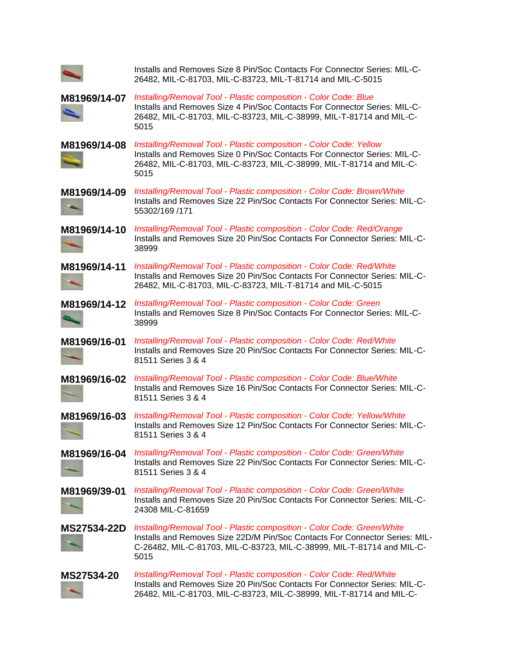|                    | Installs and Removes Size 8 Pin/Soc Contacts For Connector Series: MIL-C-<br>26482, MIL-C-81703, MIL-C-83723, MIL-T-81714 and MIL-C-5015                                                                                                 |
|--------------------|------------------------------------------------------------------------------------------------------------------------------------------------------------------------------------------------------------------------------------------|
| M81969/14-07       | Installing/Removal Tool - Plastic composition - Color Code: Blue<br>Installs and Removes Size 4 Pin/Soc Contacts For Connector Series: MIL-C-<br>26482, MIL-C-81703, MIL-C-83723, MIL-C-38999, MIL-T-81714 and MIL-C-<br>5015            |
| M81969/14-08       | Installing/Removal Tool - Plastic composition - Color Code: Yellow<br>Installs and Removes Size 0 Pin/Soc Contacts For Connector Series: MIL-C-<br>26482, MIL-C-81703, MIL-C-83723, MIL-C-38999, MIL-T-81714 and MIL-C-<br>5015          |
| M81969/14-09       | Installing/Removal Tool - Plastic composition - Color Code: Brown/White<br>Installs and Removes Size 22 Pin/Soc Contacts For Connector Series: MIL-C-<br>55302/169 /171                                                                  |
| M81969/14-10       | Installing/Removal Tool - Plastic composition - Color Code: Red/Orange<br>Installs and Removes Size 20 Pin/Soc Contacts For Connector Series: MIL-C-<br>38999                                                                            |
| M81969/14-11       | Installing/Removal Tool - Plastic composition - Color Code: Red/White<br>Installs and Removes Size 20 Pin/Soc Contacts For Connector Series: MIL-C-<br>26482, MIL-C-81703, MIL-C-83723, MIL-T-81714 and MIL-C-5015                       |
| M81969/14-12       | Installing/Removal Tool - Plastic composition - Color Code: Green<br>Installs and Removes Size 8 Pin/Soc Contacts For Connector Series: MIL-C-<br>38999                                                                                  |
| M81969/16-01       | Installing/Removal Tool - Plastic composition - Color Code: Red/White<br>Installs and Removes Size 20 Pin/Soc Contacts For Connector Series: MIL-C-<br>81511 Series 3 & 4                                                                |
| M81969/16-02       | Installing/Removal Tool - Plastic composition - Color Code: Blue/White<br>Installs and Removes Size 16 Pin/Soc Contacts For Connector Series: MIL-C-<br>81511 Series 3 & 4                                                               |
| M81969/16-03       | Installing/Removal Tool - Plastic composition - Color Code: Yellow/White<br>Installs and Removes Size 12 Pin/Soc Contacts For Connector Series: MIL-C-<br>81511 Series 3 & 4                                                             |
| M81969/16-04       | Installing/Removal Tool - Plastic composition - Color Code: Green/White<br>Installs and Removes Size 22 Pin/Soc Contacts For Connector Series: MIL-C-<br>81511 Series 3 & 4                                                              |
| M81969/39-01       | Installing/Removal Tool - Plastic composition - Color Code: Green/White<br>Installs and Removes Size 20 Pin/Soc Contacts For Connector Series: MIL-C-<br>24308 MIL-C-81659                                                               |
| <b>MS27534-22D</b> | Installing/Removal Tool - Plastic composition - Color Code: Green/White<br>Installs and Removes Size 22D/M Pin/Soc Contacts For Connector Series: MIL-<br>C-26482, MIL-C-81703, MIL-C-83723, MIL-C-38999, MIL-T-81714 and MIL-C-<br>5015 |
| MS27534-20         | Installing/Removal Tool - Plastic composition - Color Code: Red/White<br>Installs and Removes Size 20 Pin/Soc Contacts For Connector Series: MIL-C-<br>26482, MIL-C-81703, MIL-C-83723, MIL-C-38999, MIL-T-81714 and MIL-C-              |